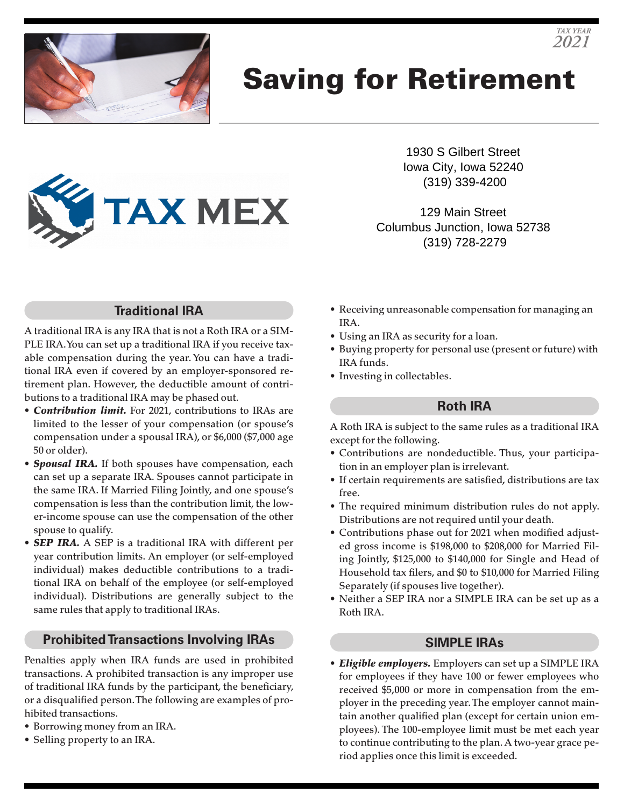

# Saving for Retirement



1930 S Gilbert Street Iowa City, Iowa 52240 (319) 339-4200

*TAX YEAR 2021*

129 Main Street Columbus Junction, Iowa 52738 (319) 728-2279

## **Traditional IRA**

A traditional IRA is any IRA that is not a Roth IRA or a SIM-PLE IRA. You can set up a traditional IRA if you receive taxable compensation during the year. You can have a traditional IRA even if covered by an employer-sponsored retirement plan. However, the deductible amount of contributions to a traditional IRA may be phased out.

- *Contribution limit.* For 2021, contributions to IRAs are limited to the lesser of your compensation (or spouse's compensation under a spousal IRA), or \$6,000 (\$7,000 age 50 or older).
- *Spousal IRA.* If both spouses have compensation, each can set up a separate IRA. Spouses cannot participate in the same IRA. If Married Filing Jointly, and one spouse's compensation is less than the contribution limit, the lower-income spouse can use the compensation of the other spouse to qualify.
- *SEP IRA.* A SEP is a traditional IRA with different per year contribution limits. An employer (or self-employed individual) makes deductible contributions to a traditional IRA on behalf of the employee (or self-employed individual). Distributions are generally subject to the same rules that apply to traditional IRAs.

## **Prohibited Transactions Involving IRAs**

Penalties apply when IRA funds are used in prohibited transactions. A prohibited transaction is any improper use of traditional IRA funds by the participant, the beneficiary, or a disqualified person. The following are examples of prohibited transactions.

- Borrowing money from an IRA.
- Selling property to an IRA.
- Receiving unreasonable compensation for managing an IRA.
- Using an IRA as security for a loan.
- Buying property for personal use (present or future) with IRA funds.
- Investing in collectables.

#### **Roth IRA**

A Roth IRA is subject to the same rules as a traditional IRA except for the following.

- Contributions are nondeductible. Thus, your participation in an employer plan is irrelevant.
- If certain requirements are satisfied, distributions are tax free.
- The required minimum distribution rules do not apply. Distributions are not required until your death.
- Contributions phase out for 2021 when modified adjusted gross income is \$198,000 to \$208,000 for Married Filing Jointly, \$125,000 to \$140,000 for Single and Head of Household tax filers, and \$0 to \$10,000 for Married Filing Separately (if spouses live together).
- Neither a SEP IRA nor a SIMPLE IRA can be set up as a Roth IRA.

### **SIMPLE IRAs**

• *Eligible employers.* Employers can set up a SIMPLE IRA for employees if they have 100 or fewer employees who received \$5,000 or more in compensation from the employer in the preceding year. The employer cannot maintain another qualified plan (except for certain union employees). The 100-employee limit must be met each year to continue contributing to the plan. A two-year grace period applies once this limit is exceeded.